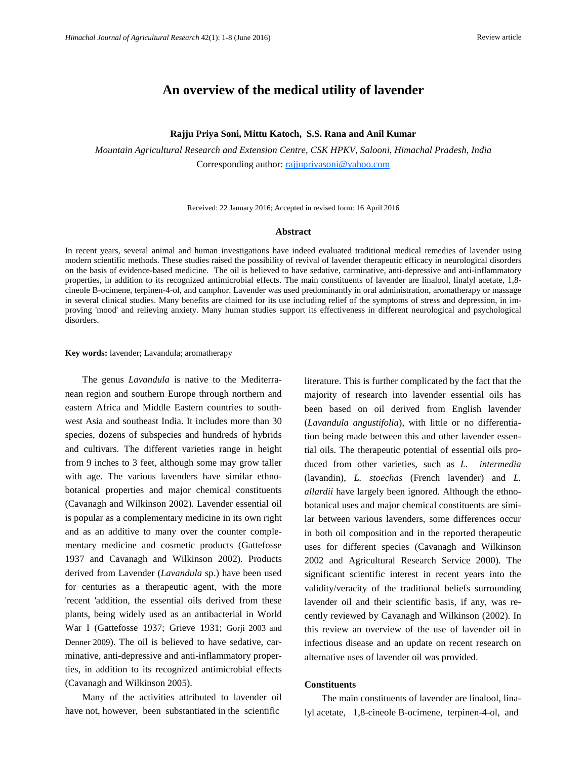# **An overview of the medical utility of lavender**

#### **Rajju Priya Soni, Mittu Katoch, S.S. Rana and Anil Kumar**

*Mountain Agricultural Research and Extension Centre, CSK HPKV, Salooni, Himachal Pradesh, India*  Corresponding author: rajjupriyasoni@yahoo.com

Received: 22 January 2016; Accepted in revised form: 16 April 2016

### **Abstract**

In recent years, several animal and human investigations have indeed evaluated traditional medical remedies of lavender using modern scientific methods. These studies raised the possibility of revival of lavender therapeutic efficacy in neurological disorders on the basis of evidence-based medicine. The oil is believed to have sedative, carminative, anti-depressive and anti-inflammatory properties, in addition to its recognized antimicrobial effects. The main constituents of lavender are linalool, linalyl acetate, 1,8 cineole B-ocimene, terpinen-4-ol, and camphor. Lavender was used predominantly in oral administration, aromatherapy or massage in several clinical studies. Many benefits are claimed for its use including relief of the symptoms of stress and depression, in improving 'mood' and relieving anxiety. Many human studies support its effectiveness in different neurological and psychological disorders.

#### **Key words:** lavender; Lavandula; aromatherapy

The genus *Lavandula* is native to the Mediterranean region and southern Europe through northern and eastern Africa and Middle Eastern countries to southwest Asia and southeast India. It includes more than 30 species, dozens of subspecies and hundreds of hybrids and cultivars. The different varieties range in height from 9 inches to 3 feet, although some may grow taller with age. The various lavenders have similar ethnobotanical properties and major chemical constituents (Cavanagh and Wilkinson 2002). Lavender essential oil is popular as a complementary medicine in its own right and as an additive to many over the counter complementary medicine and cosmetic products (Gattefosse 1937 and Cavanagh and Wilkinson 2002). Products derived from Lavender (*Lavandula* sp.) have been used for centuries as a therapeutic agent, with the more 'recent 'addition, the essential oils derived from these plants, being widely used as an antibacterial in World War I (Gattefosse 1937; Grieve 1931; Gorji 2003 and Denner 2009). The oil is believed to have sedative, carminative, anti-depressive and anti-inflammatory properties, in addition to its recognized antimicrobial effects (Cavanagh and Wilkinson 2005).

Many of the activities attributed to lavender oil have not, however, been substantiated in the scientific

literature. This is further complicated by the fact that the majority of research into lavender essential oils has been based on oil derived from English lavender (*Lavandula angustifolia*), with little or no differentiation being made between this and other lavender essential oils. The therapeutic potential of essential oils produced from other varieties, such as *L. intermedia*  (lavandin), *L. stoechas* (French lavender) and *L. allardii* have largely been ignored. Although the ethnobotanical uses and major chemical constituents are similar between various lavenders, some differences occur in both oil composition and in the reported therapeutic uses for different species (Cavanagh and Wilkinson 2002 and Agricultural Research Service 2000). The significant scientific interest in recent years into the validity/veracity of the traditional beliefs surrounding lavender oil and their scientific basis, if any, was recently reviewed by Cavanagh and Wilkinson (2002). In this review an overview of the use of lavender oil in infectious disease and an update on recent research on alternative uses of lavender oil was provided.

#### **Constituents**

The main constituents of lavender are linalool, linalyl acetate, 1,8-cineole B-ocimene, terpinen-4-ol, and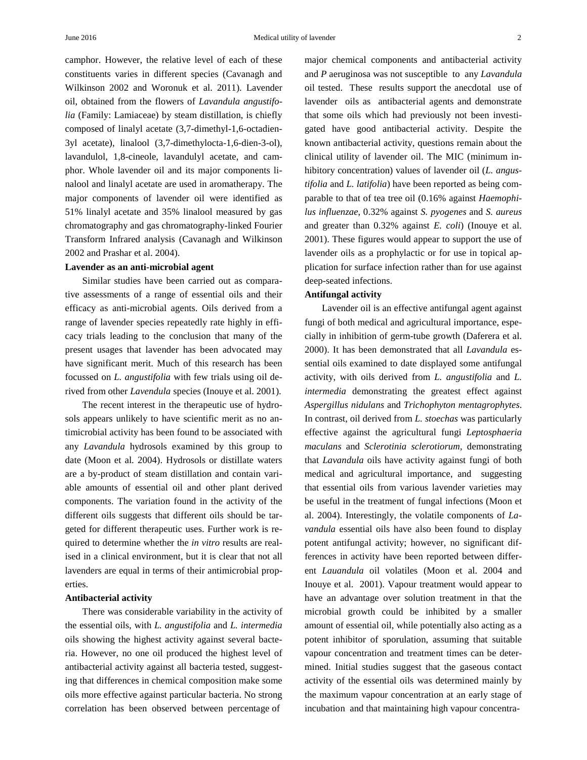camphor. However, the relative level of each of these constituents varies in different species (Cavanagh and Wilkinson 2002 and Woronuk et al. 2011). Lavender oil, obtained from the flowers of *Lavandula angustifolia* (Family: Lamiaceae) by steam distillation, is chiefly composed of linalyl acetate (3,7-dimethyl-1,6-octadien-3yl acetate), linalool (3,7-dimethylocta-1,6-dien-3-ol), lavandulol, 1,8-cineole, lavandulyl acetate, and camphor. Whole lavender oil and its major components linalool and linalyl acetate are used in aromatherapy. The major components of lavender oil were identified as 51% linalyl acetate and 35% linalool measured by gas chromatography and gas chromatography-linked Fourier Transform Infrared analysis (Cavanagh and Wilkinson 2002 and Prashar et al. 2004).

#### **Lavender as an anti-microbial agent**

Similar studies have been carried out as comparative assessments of a range of essential oils and their efficacy as anti-microbial agents. Oils derived from a range of lavender species repeatedly rate highly in efficacy trials leading to the conclusion that many of the present usages that lavender has been advocated may have significant merit. Much of this research has been focussed on *L. angustifolia* with few trials using oil derived from other *Lavendula* species (Inouye et al. 2001).

The recent interest in the therapeutic use of hydrosols appears unlikely to have scientific merit as no antimicrobial activity has been found to be associated with any *Lavandula* hydrosols examined by this group to date (Moon et al. 2004). Hydrosols or distillate waters are a by-product of steam distillation and contain variable amounts of essential oil and other plant derived components. The variation found in the activity of the different oils suggests that different oils should be targeted for different therapeutic uses. Further work is required to determine whether the *in vitro* results are realised in a clinical environment, but it is clear that not all lavenders are equal in terms of their antimicrobial properties.

### **Antibacterial activity**

There was considerable variability in the activity of the essential oils, with *L. angustifolia* and *L. intermedia* oils showing the highest activity against several bacteria. However, no one oil produced the highest level of antibacterial activity against all bacteria tested, suggesting that differences in chemical composition make some oils more effective against particular bacteria. No strong correlation has been observed between percentage of

major chemical components and antibacterial activity and *P* aeruginosa was not susceptible to any *Lavandula* oil tested. These results support the anecdotal use of lavender oils as antibacterial agents and demonstrate that some oils which had previously not been investigated have good antibacterial activity. Despite the known antibacterial activity, questions remain about the clinical utility of lavender oil. The MIC (minimum inhibitory concentration) values of lavender oil (*L. angustifolia* and *L. latifolia*) have been reported as being comparable to that of tea tree oil (0.16% against *Haemophilus influenzae*, 0.32% against *S. pyogenes* and *S. aureus* and greater than 0.32% against *E. coli*) (Inouye et al. 2001). These figures would appear to support the use of lavender oils as a prophylactic or for use in topical application for surface infection rather than for use against deep-seated infections.

## **Antifungal activity**

Lavender oil is an effective antifungal agent against fungi of both medical and agricultural importance, especially in inhibition of germ-tube growth (Daferera et al. 2000). It has been demonstrated that all *Lavandula* essential oils examined to date displayed some antifungal activity, with oils derived from *L. angustifolia* and *L. intermedia* demonstrating the greatest effect against *Aspergillus nidulans* and *Trichophyton mentagrophytes*. In contrast, oil derived from *L. stoechas* was particularly effective against the agricultural fungi *Leptosphaeria maculans* and *Sclerotinia sclerotiorum*, demonstrating that *Lavandula* oils have activity against fungi of both medical and agricultural importance, and suggesting that essential oils from various lavender varieties may be useful in the treatment of fungal infections (Moon et al. 2004). Interestingly, the volatile components of *Lavandula* essential oils have also been found to display potent antifungal activity; however, no significant differences in activity have been reported between different *Lauandula* oil volatiles (Moon et al. 2004 and Inouye et al. 2001). Vapour treatment would appear to have an advantage over solution treatment in that the microbial growth could be inhibited by a smaller amount of essential oil, while potentially also acting as a potent inhibitor of sporulation, assuming that suitable vapour concentration and treatment times can be determined. Initial studies suggest that the gaseous contact activity of the essential oils was determined mainly by the maximum vapour concentration at an early stage of incubation and that maintaining high vapour concentra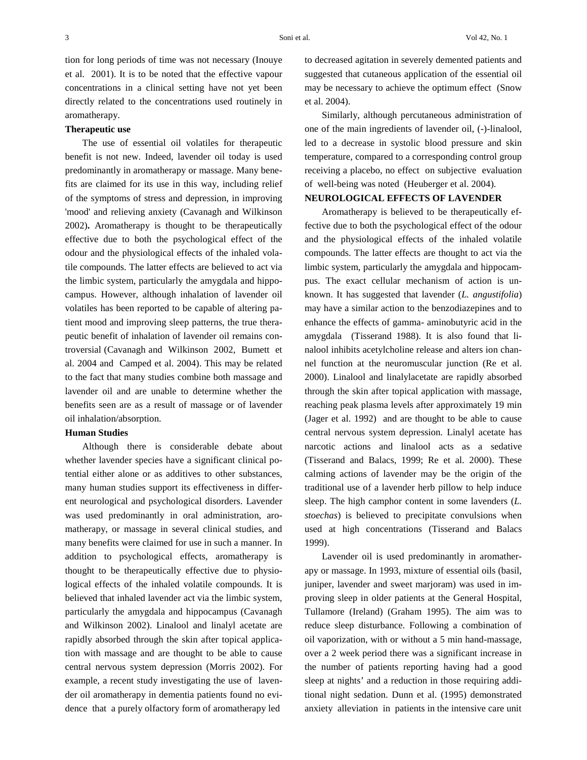tion for long periods of time was not necessary (Inouye et al. 2001). It is to be noted that the effective vapour concentrations in a clinical setting have not yet been directly related to the concentrations used routinely in aromatherapy.

### **Therapeutic use**

The use of essential oil volatiles for therapeutic benefit is not new. Indeed, lavender oil today is used predominantly in aromatherapy or massage. Many benefits are claimed for its use in this way, including relief of the symptoms of stress and depression, in improving 'mood' and relieving anxiety (Cavanagh and Wilkinson 2002)**.** Aromatherapy is thought to be therapeutically effective due to both the psychological effect of the odour and the physiological effects of the inhaled volatile compounds. The latter effects are believed to act via the limbic system, particularly the amygdala and hippocampus. However, although inhalation of lavender oil volatiles has been reported to be capable of altering patient mood and improving sleep patterns, the true therapeutic benefit of inhalation of lavender oil remains controversial (Cavanagh and Wilkinson 2002, Bumett et al. 2004 and Camped et al. 2004). This may be related to the fact that many studies combine both massage and lavender oil and are unable to determine whether the benefits seen are as a result of massage or of lavender oil inhalation/absorption.

## **Human Studies**

Although there is considerable debate about whether lavender species have a significant clinical potential either alone or as additives to other substances, many human studies support its effectiveness in different neurological and psychological disorders. Lavender was used predominantly in oral administration, aromatherapy, or massage in several clinical studies, and many benefits were claimed for use in such a manner. In addition to psychological effects, aromatherapy is thought to be therapeutically effective due to physiological effects of the inhaled volatile compounds. It is believed that inhaled lavender act via the limbic system, particularly the amygdala and hippocampus (Cavanagh and Wilkinson 2002). Linalool and linalyl acetate are rapidly absorbed through the skin after topical application with massage and are thought to be able to cause central nervous system depression (Morris 2002). For example, a recent study investigating the use of lavender oil aromatherapy in dementia patients found no evidence that a purely olfactory form of aromatherapy led

to decreased agitation in severely demented patients and suggested that cutaneous application of the essential oil may be necessary to achieve the optimum effect (Snow et al. 2004).

Similarly, although percutaneous administration of one of the main ingredients of lavender oil, (-)-linalool, led to a decrease in systolic blood pressure and skin temperature, compared to a corresponding control group receiving a placebo, no effect on subjective evaluation of well-being was noted (Heuberger et al. 2004).

## **NEUROLOGICAL EFFECTS OF LAVENDER**

Aromatherapy is believed to be therapeutically effective due to both the psychological effect of the odour and the physiological effects of the inhaled volatile compounds. The latter effects are thought to act via the limbic system, particularly the amygdala and hippocampus. The exact cellular mechanism of action is unknown. It has suggested that lavender (*L. angustifolia*) may have a similar action to the benzodiazepines and to enhance the effects of gamma- aminobutyric acid in the amygdala (Tisserand 1988). It is also found that linalool inhibits acetylcholine release and alters ion channel function at the neuromuscular junction (Re et al. 2000). Linalool and linalylacetate are rapidly absorbed through the skin after topical application with massage, reaching peak plasma levels after approximately 19 min (Jager et al. 1992) and are thought to be able to cause central nervous system depression. Linalyl acetate has narcotic actions and linalool acts as a sedative (Tisserand and Balacs, 1999; Re et al. 2000). These calming actions of lavender may be the origin of the traditional use of a lavender herb pillow to help induce sleep. The high camphor content in some lavenders (*L. stoechas*) is believed to precipitate convulsions when used at high concentrations (Tisserand and Balacs 1999).

Lavender oil is used predominantly in aromatherapy or massage. In 1993, mixture of essential oils (basil, juniper, lavender and sweet marjoram) was used in improving sleep in older patients at the General Hospital, Tullamore (Ireland) (Graham 1995). The aim was to reduce sleep disturbance. Following a combination of oil vaporization, with or without a 5 min hand-massage, over a 2 week period there was a significant increase in the number of patients reporting having had a good sleep at nights' and a reduction in those requiring additional night sedation. Dunn et al. (1995) demonstrated anxiety alleviation in patients in the intensive care unit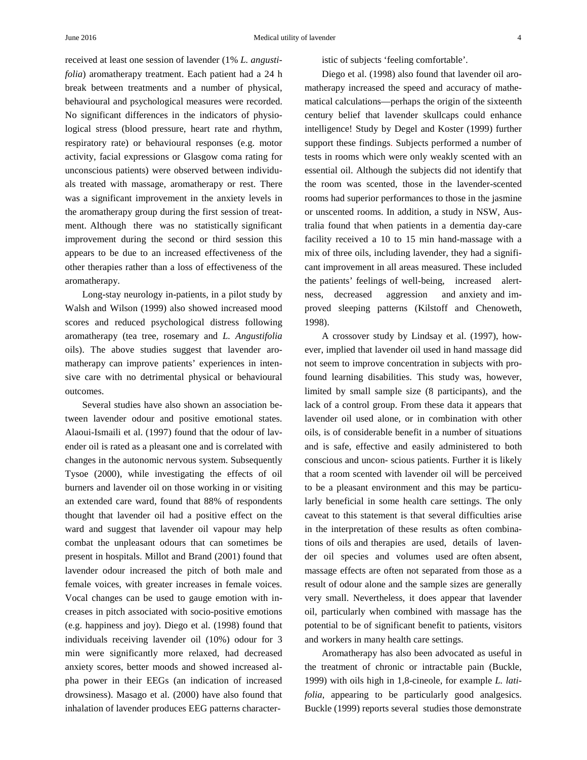received at least one session of lavender (1% *L. angustifolia*) aromatherapy treatment. Each patient had a 24 h break between treatments and a number of physical, behavioural and psychological measures were recorded. No significant differences in the indicators of physiological stress (blood pressure, heart rate and rhythm, respiratory rate) or behavioural responses (e.g. motor activity, facial expressions or Glasgow coma rating for unconscious patients) were observed between individuals treated with massage, aromatherapy or rest. There was a significant improvement in the anxiety levels in the aromatherapy group during the first session of treatment. Although there was no statistically significant improvement during the second or third session this appears to be due to an increased effectiveness of the other therapies rather than a loss of effectiveness of the aromatherapy.

Long-stay neurology in-patients, in a pilot study by Walsh and Wilson (1999) also showed increased mood scores and reduced psychological distress following aromatherapy (tea tree, rosemary and *L. Angustifolia* oils). The above studies suggest that lavender aromatherapy can improve patients' experiences in intensive care with no detrimental physical or behavioural outcomes.

Several studies have also shown an association between lavender odour and positive emotional states. Alaoui-Ismaili et al. (1997) found that the odour of lavender oil is rated as a pleasant one and is correlated with changes in the autonomic nervous system. Subsequently Tysoe (2000), while investigating the effects of oil burners and lavender oil on those working in or visiting an extended care ward, found that 88% of respondents thought that lavender oil had a positive effect on the ward and suggest that lavender oil vapour may help combat the unpleasant odours that can sometimes be present in hospitals. Millot and Brand (2001) found that lavender odour increased the pitch of both male and female voices, with greater increases in female voices. Vocal changes can be used to gauge emotion with increases in pitch associated with socio-positive emotions (e.g. happiness and joy). Diego et al. (1998) found that individuals receiving lavender oil (10%) odour for 3 min were significantly more relaxed, had decreased anxiety scores, better moods and showed increased alpha power in their EEGs (an indication of increased drowsiness). Masago et al. (2000) have also found that inhalation of lavender produces EEG patterns characteristic of subjects 'feeling comfortable'.

Diego et al. (1998) also found that lavender oil aromatherapy increased the speed and accuracy of mathematical calculations—perhaps the origin of the sixteenth century belief that lavender skullcaps could enhance intelligence! Study by Degel and Koster (1999) further support these findings. Subjects performed a number of tests in rooms which were only weakly scented with an essential oil. Although the subjects did not identify that the room was scented, those in the lavender-scented rooms had superior performances to those in the jasmine or unscented rooms. In addition, a study in NSW, Australia found that when patients in a dementia day-care facility received a 10 to 15 min hand-massage with a mix of three oils, including lavender, they had a significant improvement in all areas measured. These included the patients' feelings of well-being, increased alertness, decreased aggression and anxiety and improved sleeping patterns (Kilstoff and Chenoweth, 1998).

A crossover study by Lindsay et al. (1997), however, implied that lavender oil used in hand massage did not seem to improve concentration in subjects with profound learning disabilities. This study was, however, limited by small sample size (8 participants), and the lack of a control group. From these data it appears that lavender oil used alone, or in combination with other oils, is of considerable benefit in a number of situations and is safe, effective and easily administered to both conscious and uncon- scious patients. Further it is likely that a room scented with lavender oil will be perceived to be a pleasant environment and this may be particularly beneficial in some health care settings. The only caveat to this statement is that several difficulties arise in the interpretation of these results as often combinations of oils and therapies are used, details of lavender oil species and volumes used are often absent, massage effects are often not separated from those as a result of odour alone and the sample sizes are generally very small. Nevertheless, it does appear that lavender oil, particularly when combined with massage has the potential to be of significant benefit to patients, visitors and workers in many health care settings.

Aromatherapy has also been advocated as useful in the treatment of chronic or intractable pain (Buckle, 1999) with oils high in 1,8-cineole, for example *L. latifolia*, appearing to be particularly good analgesics. Buckle (1999) reports several studies those demonstrate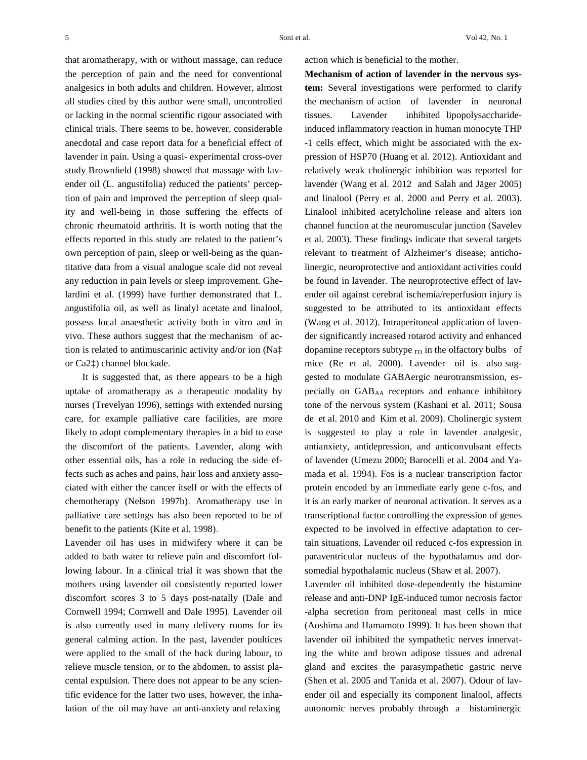that aromatherapy, with or without massage, can reduce the perception of pain and the need for conventional analgesics in both adults and children. However, almost all studies cited by this author were small, uncontrolled or lacking in the normal scientific rigour associated with clinical trials. There seems to be, however, considerable anecdotal and case report data for a beneficial effect of lavender in pain. Using a quasi- experimental cross-over study Brownfield (1998) showed that massage with lavender oil (L. angustifolia) reduced the patients' perception of pain and improved the perception of sleep quality and well-being in those suffering the effects of chronic rheumatoid arthritis. It is worth noting that the effects reported in this study are related to the patient's own perception of pain, sleep or well-being as the quantitative data from a visual analogue scale did not reveal any reduction in pain levels or sleep improvement. Ghelardini et al. (1999) have further demonstrated that L. angustifolia oil, as well as linalyl acetate and linalool, possess local anaesthetic activity both in vitro and in vivo. These authors suggest that the mechanism of action is related to antimuscarinic activity and/or ion (Na‡ or Ca2‡) channel blockade.

It is suggested that, as there appears to be a high uptake of aromatherapy as a therapeutic modality by nurses (Trevelyan 1996), settings with extended nursing care, for example palliative care facilities, are more likely to adopt complementary therapies in a bid to ease the discomfort of the patients. Lavender, along with other essential oils, has a role in reducing the side effects such as aches and pains, hair loss and anxiety associated with either the cancer itself or with the effects of chemotherapy (Nelson 1997b). Aromatherapy use in palliative care settings has also been reported to be of benefit to the patients (Kite et al. 1998).

Lavender oil has uses in midwifery where it can be added to bath water to relieve pain and discomfort following labour. In a clinical trial it was shown that the mothers using lavender oil consistently reported lower discomfort scores 3 to 5 days post-natally (Dale and Cornwell 1994; Cornwell and Dale 1995). Lavender oil is also currently used in many delivery rooms for its general calming action. In the past, lavender poultices were applied to the small of the back during labour, to relieve muscle tension, or to the abdomen, to assist placental expulsion. There does not appear to be any scientific evidence for the latter two uses, however, the inhalation of the oil may have an anti-anxiety and relaxing

action which is beneficial to the mother.

**Mechanism of action of lavender in the nervous system:** Several investigations were performed to clarify the mechanism of action of lavender in neuronal tissues. Lavender inhibited lipopolysaccharideinduced inflammatory reaction in human monocyte THP -1 cells effect, which might be associated with the expression of HSP70 (Huang et al. 2012). Antioxidant and relatively weak cholinergic inhibition was reported for lavender (Wang et al. 2012 and Salah and Jäger 2005) and linalool (Perry et al. 2000 and Perry et al. 2003). Linalool inhibited acetylcholine release and alters ion channel function at the neuromuscular junction (Savelev et al. 2003). These findings indicate that several targets relevant to treatment of Alzheimer's disease; anticholinergic, neuroprotective and antioxidant activities could be found in lavender. The neuroprotective effect of lavender oil against cerebral ischemia/reperfusion injury is suggested to be attributed to its antioxidant effects (Wang et al. 2012). Intraperitoneal application of lavender significantly increased rotarod activity and enhanced dopamine receptors subtype  $_{D3}$  in the olfactory bulbs of mice (Re et al. 2000). Lavender oil is also suggested to modulate GABAergic neurotransmission, especially on  $GAB_{AA}$  receptors and enhance inhibitory tone of the nervous system (Kashani et al. 2011; Sousa de et al. 2010 and Kim et al. 2009). Cholinergic system is suggested to play a role in lavender analgesic, antianxiety, antidepression, and anticonvulsant effects of lavender (Umezu 2000; Barocelli et al. 2004 and Yamada et al. 1994). Fos is a nuclear transcription factor protein encoded by an immediate early gene c-fos, and it is an early marker of neuronal activation. It serves as a transcriptional factor controlling the expression of genes expected to be involved in effective adaptation to certain situations. Lavender oil reduced c-fos expression in paraventricular nucleus of the hypothalamus and dorsomedial hypothalamic nucleus (Shaw et al. 2007).

Lavender oil inhibited dose-dependently the histamine release and anti-DNP IgE-induced tumor necrosis factor -alpha secretion from peritoneal mast cells in mice (Aoshima and Hamamoto 1999). It has been shown that lavender oil inhibited the sympathetic nerves innervating the white and brown adipose tissues and adrenal gland and excites the parasympathetic gastric nerve (Shen et al. 2005 and Tanida et al. 2007). Odour of lavender oil and especially its component linalool, affects autonomic nerves probably through a histaminergic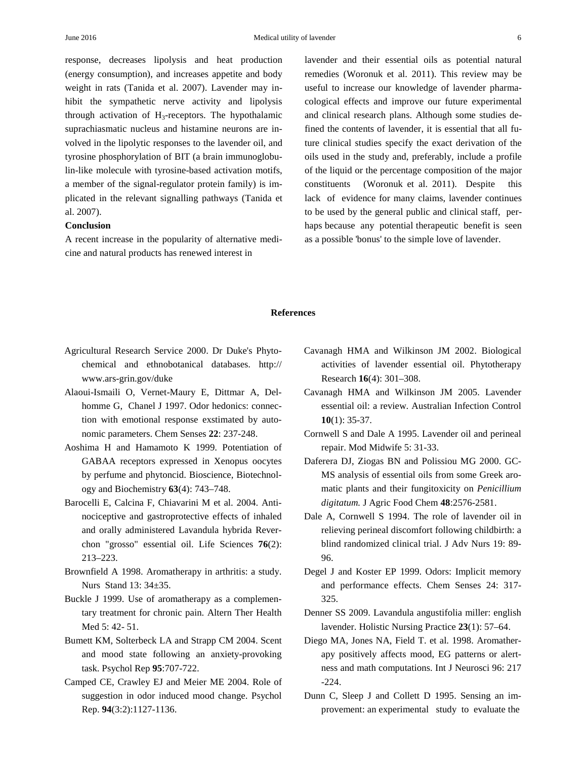response, decreases lipolysis and heat production (energy consumption), and increases appetite and body weight in rats (Tanida et al. 2007). Lavender may inhibit the sympathetic nerve activity and lipolysis through activation of  $H_3$ -receptors. The hypothalamic suprachiasmatic nucleus and histamine neurons are involved in the lipolytic responses to the lavender oil, and tyrosine phosphorylation of BIT (a brain immunoglobulin-like molecule with tyrosine-based activation motifs, a member of the signal-regulator protein family) is implicated in the relevant signalling pathways (Tanida et al. 2007).

### **Conclusion**

A recent increase in the popularity of alternative medicine and natural products has renewed interest in

lavender and their essential oils as potential natural remedies (Woronuk et al. 2011). This review may be useful to increase our knowledge of lavender pharmacological effects and improve our future experimental and clinical research plans. Although some studies defined the contents of lavender, it is essential that all future clinical studies specify the exact derivation of the oils used in the study and, preferably, include a profile of the liquid or the percentage composition of the major constituents (Woronuk et al. 2011). Despite this lack of evidence for many claims, lavender continues to be used by the general public and clinical staff, perhaps because any potential therapeutic benefit is seen as a possible 'bonus' to the simple love of lavender.

#### **References**

- Agricultural Research Service 2000. Dr Duke's Phytochemical and ethnobotanical databases. http:// www.ars-grin.gov/duke
- Alaoui-Ismaili O, Vernet-Maury E, Dittmar A, Delhomme G, Chanel J 1997. Odor hedonics: connection with emotional response exstimated by autonomic parameters. Chem Senses **22**: 237-248.
- Aoshima H and Hamamoto K 1999. Potentiation of GABAA receptors expressed in Xenopus oocytes by perfume and phytoncid. Bioscience, Biotechnology and Biochemistry **63**(4): 743–748.
- Barocelli E, Calcina F, Chiavarini M et al. 2004. Antinociceptive and gastroprotective effects of inhaled and orally administered Lavandula hybrida Reverchon "grosso" essential oil. Life Sciences **76**(2): 213–223.
- Brownfield A 1998. Aromatherapy in arthritis: a study. Nurs Stand 13: 34±35.
- Buckle J 1999. Use of aromatherapy as a complementary treatment for chronic pain. Altern Ther Health Med 5: 42- 51.
- Bumett KM, Solterbeck LA and Strapp CM 2004. Scent and mood state following an anxiety-provoking task. Psychol Rep **95**:707-722.
- Camped CE, Crawley EJ and Meier ME 2004. Role of suggestion in odor induced mood change. Psychol Rep. **94**(3:2):1127-1136.
- Cavanagh HMA and Wilkinson JM 2002. Biological activities of lavender essential oil. Phytotherapy Research **16**(4): 301–308.
- Cavanagh HMA and Wilkinson JM 2005. Lavender essential oil: a review. Australian Infection Control **10**(1): 35-37.
- Cornwell S and Dale A 1995. Lavender oil and perineal repair. Mod Midwife 5: 31-33.
- Daferera DJ, Ziogas BN and Polissiou MG 2000. GC-MS analysis of essential oils from some Greek aromatic plants and their fungitoxicity on *Penicillium digitatum.* J Agric Food Chem **48**:2576-2581.
- Dale A, Cornwell S 1994. The role of lavender oil in relieving perineal discomfort following childbirth: a blind randomized clinical trial. J Adv Nurs 19: 89- 96.
- Degel J and Koster EP 1999. Odors: Implicit memory and performance effects. Chem Senses 24: 317- 325.
- Denner SS 2009. Lavandula angustifolia miller: english lavender. Holistic Nursing Practice **23**(1): 57–64.
- Diego MA, Jones NA, Field T. et al. 1998. Aromatherapy positively affects mood, EG patterns or alertness and math computations. Int J Neurosci 96: 217 -224.
- Dunn C, Sleep J and Collett D 1995. Sensing an improvement: an experimental study to evaluate the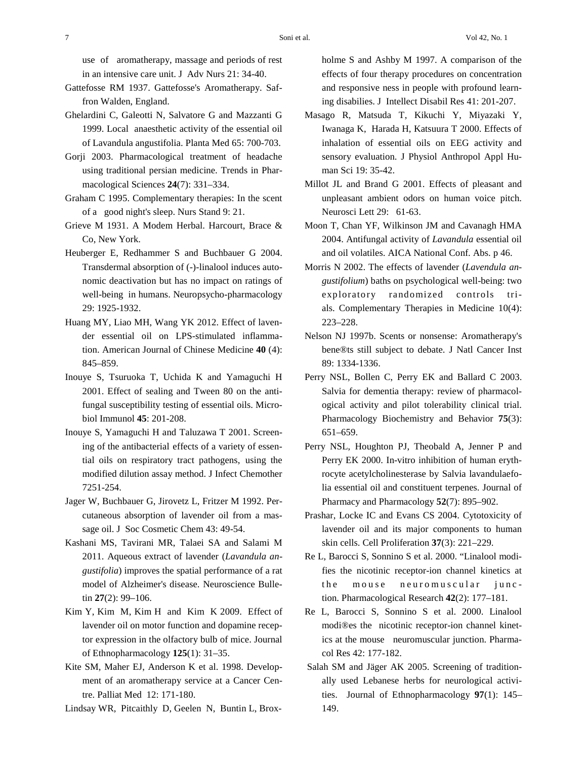use of aromatherapy, massage and periods of rest in an intensive care unit. J Adv Nurs 21: 34-40.

- Gattefosse RM 1937. Gattefosse's Aromatherapy. Saffron Walden, England.
- Ghelardini C, Galeotti N, Salvatore G and Mazzanti G 1999. Local anaesthetic activity of the essential oil of Lavandula angustifolia. Planta Med 65: 700-703.
- Gorji 2003. Pharmacological treatment of headache using traditional persian medicine. Trends in Pharmacological Sciences **24**(7): 331–334.
- Graham C 1995. Complementary therapies: In the scent of a good night's sleep. Nurs Stand 9: 21.
- Grieve M 1931. A Modem Herbal. Harcourt, Brace & Co, New York.
- Heuberger E, Redhammer S and Buchbauer G 2004. Transdermal absorption of (-)-linalool induces autonomic deactivation but has no impact on ratings of well-being in humans. Neuropsycho-pharmacology 29: 1925-1932.
- Huang MY, Liao MH, Wang YK 2012. Effect of lavender essential oil on LPS-stimulated inflammation. American Journal of Chinese Medicine **40** (4): 845–859.
- Inouye S, Tsuruoka T, Uchida K and Yamaguchi H 2001. Effect of sealing and Tween 80 on the antifungal susceptibility testing of essential oils. Microbiol Immunol **45**: 201-208.
- Inouye S, Yamaguchi H and Taluzawa T 2001. Screening of the antibacterial effects of a variety of essential oils on respiratory tract pathogens, using the modified dilution assay method. J Infect Chemother 7251-254.
- Jager W, Buchbauer G, Jirovetz L, Fritzer M 1992. Percutaneous absorption of lavender oil from a massage oil. J Soc Cosmetic Chem 43: 49-54.
- Kashani MS, Tavirani MR, Talaei SA and Salami M 2011. Aqueous extract of lavender (*Lavandula angustifolia*) improves the spatial performance of a rat model of Alzheimer's disease. Neuroscience Bulletin **27**(2): 99–106.
- Kim Y, Kim M, Kim H and Kim K 2009. Effect of lavender oil on motor function and dopamine receptor expression in the olfactory bulb of mice. Journal of Ethnopharmacology **125**(1): 31–35.
- Kite SM, Maher EJ, Anderson K et al. 1998. Development of an aromatherapy service at a Cancer Centre. Palliat Med 12: 171-180.

Lindsay WR, Pitcaithly D, Geelen N, Buntin L, Brox-

holme S and Ashby M 1997. A comparison of the effects of four therapy procedures on concentration and responsive ness in people with profound learning disabilies. J Intellect Disabil Res 41: 201-207.

- Masago R, Matsuda T, Kikuchi Y, Miyazaki Y, Iwanaga K, Harada H, Katsuura T 2000. Effects of inhalation of essential oils on EEG activity and sensory evaluation. J Physiol Anthropol Appl Human Sci 19: 35-42.
- Millot JL and Brand G 2001. Effects of pleasant and unpleasant ambient odors on human voice pitch. Neurosci Lett 29: 61-63.
- Moon T, Chan YF, Wilkinson JM and Cavanagh HMA 2004. Antifungal activity of *Lavandula* essential oil and oil volatiles. AICA National Conf. Abs. p 46.
- Morris N 2002. The effects of lavender (*Lavendula angustifolium*) baths on psychological well-being: two exploratory randomized controls trials. Complementary Therapies in Medicine 10(4): 223–228.
- Nelson NJ 1997b. Scents or nonsense: Aromatherapy's bene®ts still subject to debate. J Natl Cancer Inst 89: 1334-1336.
- Perry NSL, Bollen C, Perry EK and Ballard C 2003. Salvia for dementia therapy: review of pharmacological activity and pilot tolerability clinical trial. Pharmacology Biochemistry and Behavior **75**(3): 651–659.
- Perry NSL, Houghton PJ, Theobald A, Jenner P and Perry EK 2000. In-vitro inhibition of human erythrocyte acetylcholinesterase by Salvia lavandulaefolia essential oil and constituent terpenes. Journal of Pharmacy and Pharmacology **52**(7): 895–902.
- Prashar, Locke IC and Evans CS 2004. Cytotoxicity of lavender oil and its major components to human skin cells. Cell Proliferation **37**(3): 221–229.
- Re L, Barocci S, Sonnino S et al. 2000. "Linalool modifies the nicotinic receptor-ion channel kinetics at the mouse neuromuscular junction. Pharmacological Research **42**(2): 177–181.
- Re L, Barocci S, Sonnino S et al. 2000. Linalool modi®es the nicotinic receptor-ion channel kinetics at the mouse neuromuscular junction. Pharmacol Res 42: 177-182.
- Salah SM and Jäger AK 2005. Screening of traditionally used Lebanese herbs for neurological activities. Journal of Ethnopharmacology **97**(1): 145– 149.